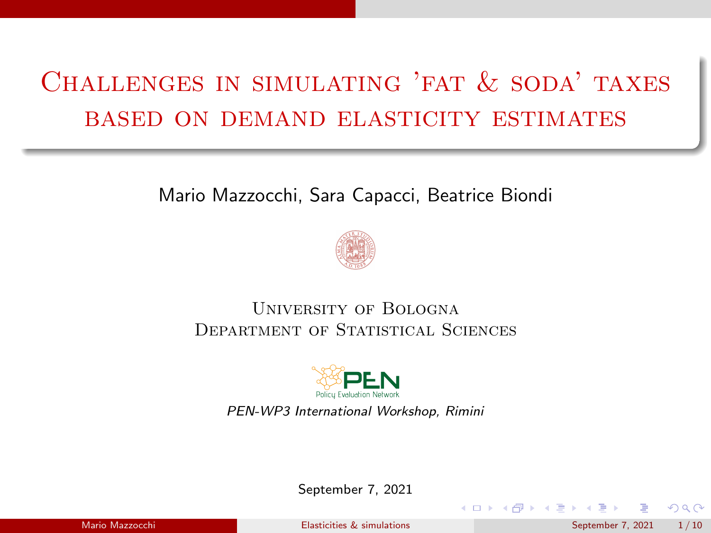## <span id="page-0-0"></span>Challenges in simulating 'fat & soda' taxes based on demand elasticity estimates

#### Mario Mazzocchi, Sara Capacci, Beatrice Biondi



#### University of Bologna DEPARTMENT OF STATISTICAL SCIENCES



PEN-WP3 International Workshop, Rimini

September 7, 2021

**K ロ ▶ K 何 ▶ K ミ ▶ K** 

 $QQ$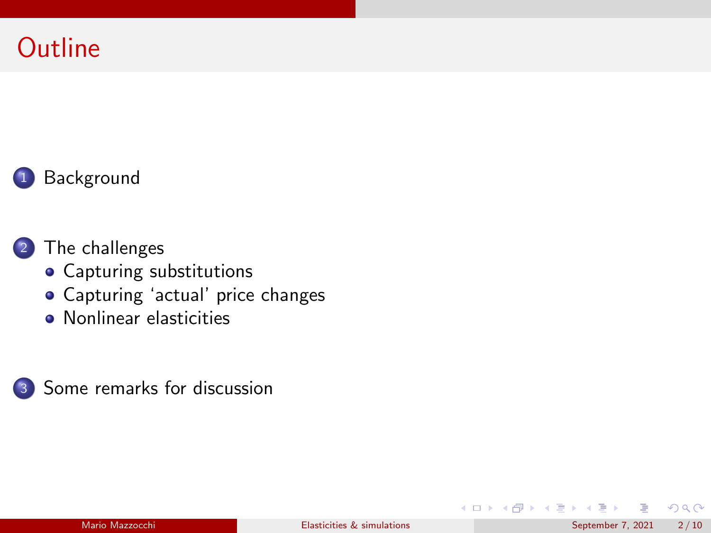### **Outline**



#### <sup>2</sup> [The challenges](#page-4-0)

- [Capturing substitutions](#page-5-0)
- [Capturing 'actual' price changes](#page-6-0)
- **[Nonlinear elasticities](#page-7-0)**



 $\Omega$ 

メロトメ 倒下 メミトメ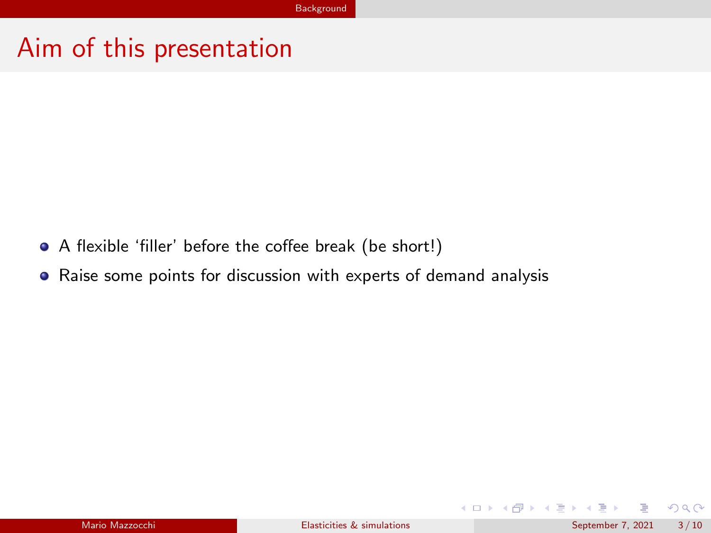#### <span id="page-2-0"></span>Aim of this presentation

- A flexible 'filler' before the coffee break (be short!)
- Raise some points for discussion with experts of demand analysis

 $\Omega$ 

イロト イ御 トイミトイ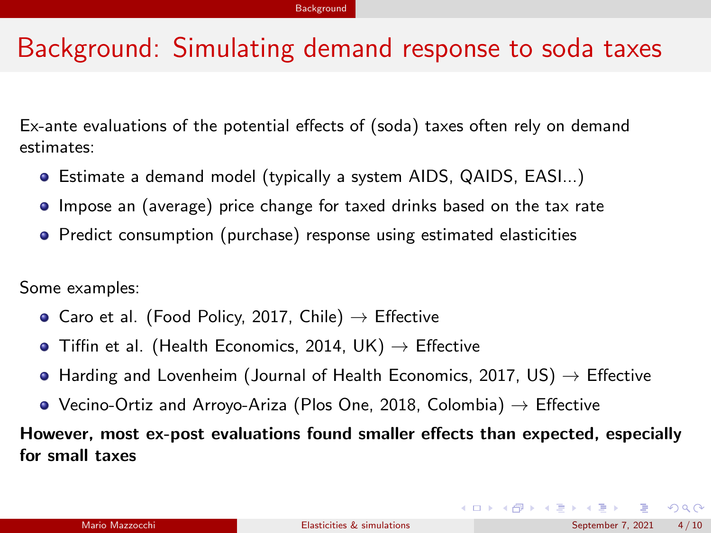#### <span id="page-3-0"></span>Background: Simulating demand response to soda taxes

Ex-ante evaluations of the potential effects of (soda) taxes often rely on demand estimates:

- Estimate a demand model (typically a system AIDS, QAIDS, EASI...)
- **Impose an (average) price change for taxed drinks based on the tax rate**
- **•** Predict consumption (purchase) response using estimated elasticities

Some examples:

- Caro et al. (Food Policy, 2017, Chile)  $\rightarrow$  Effective
- Tiffin et al. (Health Economics, 2014, UK)  $\rightarrow$  Effective
- $\bullet$  Harding and Lovenheim (Journal of Health Economics, 2017, US)  $\rightarrow$  Effective
- Vecino-Ortiz and Arroyo-Ariza (Plos One, 2018, Colombia)  $\rightarrow$  Effective

However, most ex-post evaluations found smaller effects than expected, especially for small taxes

 $\Omega$ 

 $4$  ロ }  $4$   $\overline{m}$  }  $4$   $\overline{m}$  }  $4$   $\overline{m}$  }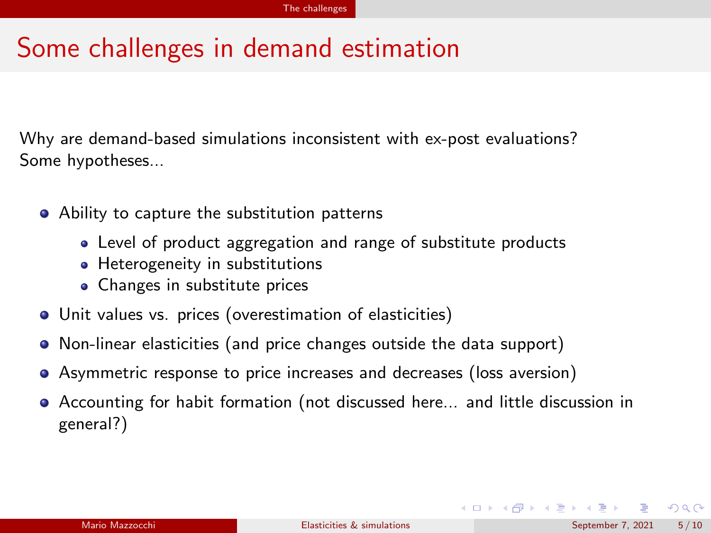#### <span id="page-4-0"></span>Some challenges in demand estimation

Why are demand-based simulations inconsistent with ex-post evaluations? Some hypotheses...

- Ability to capture the substitution patterns
	- Level of product aggregation and range of substitute products
	- Heterogeneity in substitutions
	- Changes in substitute prices
- Unit values vs. prices (overestimation of elasticities)
- Non-linear elasticities (and price changes outside the data support)
- Asymmetric response to price increases and decreases (loss aversion)
- Accounting for habit formation (not discussed here... and little discussion in general?)

 $\Omega$ 

 $4$  ロ }  $4$   $\overline{m}$  }  $4$   $\overline{m}$  }  $4$   $\overline{m}$  }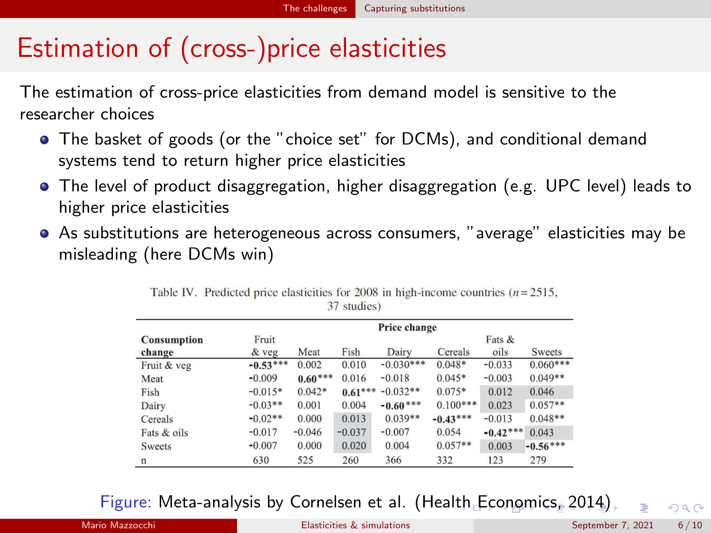### <span id="page-5-0"></span>Estimation of (cross-)price elasticities

The estimation of cross-price elasticities from demand model is sensitive to the researcher choices

- The basket of goods (or the "choice set" for DCMs), and conditional demand systems tend to return higher price elasticities
- The level of product disaggregation, higher disaggregation (e.g. UPC level) leads to higher price elasticities
- As substitutions are heterogeneous across consumers, "average" elasticities may be misleading (here DCMs win)

|                    |            | Price change |           |             |            |            |            |  |  |
|--------------------|------------|--------------|-----------|-------------|------------|------------|------------|--|--|
| <b>Consumption</b> | Fruit      |              |           |             |            | Fats &     |            |  |  |
| change             | & veg      | Meat         | Fish      | Dairy       | Cereals    | oils       | Sweets     |  |  |
| Fruit & veg        | $-0.53***$ | 0.002        | 0.010     | $-0.030***$ | $0.048*$   | $-0.033$   | $0.060***$ |  |  |
| Meat               | $-0.009$   | $0.60***$    | 0.016     | $-0.018$    | $0.045*$   | $-0.003$   | $0.049**$  |  |  |
| Fish               | $-0.015*$  | $0.042*$     | $0.61***$ | $-0.032**$  | $0.075*$   | 0.012      | 0.046      |  |  |
| Dairy              | $-0.03**$  | 0.001        | 0.004     | $-0.60***$  | $0.100***$ | 0.023      | $0.057**$  |  |  |
| Cereals            | $-0.02**$  | 0.000        | 0.013     | $0.039**$   | $-0.43***$ | $-0.013$   | $0.048**$  |  |  |
| Fats & oils        | $-0.017$   | $-0.046$     | $-0.037$  | $-0.007$    | 0.054      | $-0.42***$ | 0.043      |  |  |
| <b>Sweets</b>      | $-0.007$   | 0.000        | 0.020     | 0.004       | $0.057**$  | 0.003      | $-0.56***$ |  |  |
| n                  | 630        | 525          | 260       | 366         | 332        | 123        | 279        |  |  |

Table IV. Predicted price elasticities for 2008 in high-income countries  $(n=2515,$ 37 studies)

Figure: Meta-analysis by Cornelsen et al. (Hea[lth](#page-4-0) [Ec](#page-6-0)[on](#page-4-0)[o](#page-5-0)[mi](#page-6-0)[c](#page-4-0)[s,](#page-5-0) [2](#page-6-0)[01](#page-3-0)[4](#page-4-0)[\)](#page-8-0)  $\Omega$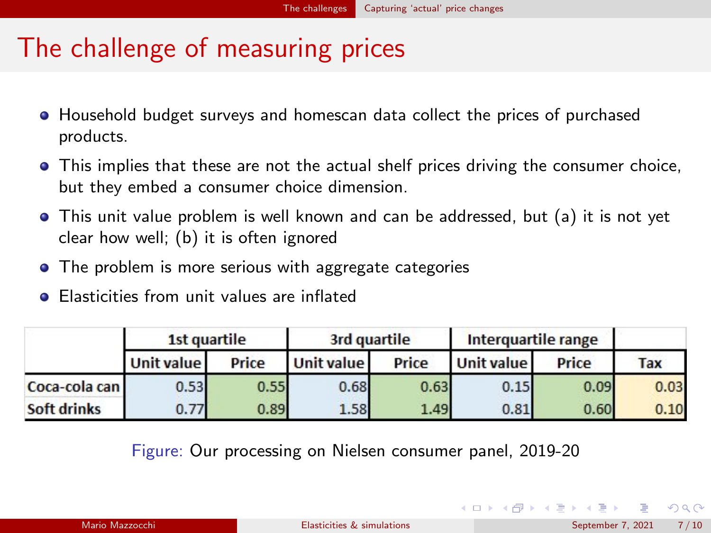### <span id="page-6-0"></span>The challenge of measuring prices

- **•** Household budget surveys and homescan data collect the prices of purchased products.
- This implies that these are not the actual shelf prices driving the consumer choice, but they embed a consumer choice dimension.
- This unit value problem is well known and can be addressed, but (a) it is not yet clear how well; (b) it is often ignored
- The problem is more serious with aggregate categories
- **•** Elasticities from unit values are inflated

|               | 1st quartile      |       |            | 3rd quartile | Interguartile range |       |            |
|---------------|-------------------|-------|------------|--------------|---------------------|-------|------------|
|               | <b>Unit value</b> | Price | Unit value | Price        | Unit value          | Price | <b>Tax</b> |
| Coca-cola can | 0.53              | 0.55  | 0.68       | 0.63         | 0.15                | 0.09  | 0.03       |
| Soft drinks   | 0.77              | 0.89  | 1.58       | 1.49         | 0.81                | 0.60  | 0.10       |

Figure: Our processing on Nielsen consumer panel, 2019-20

 $\Omega$ 

K ロト K 御 ト K 君 ト K 君 K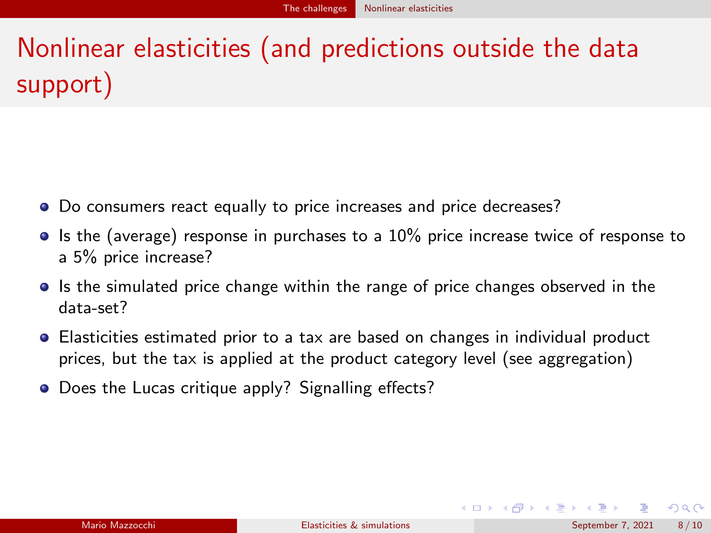# <span id="page-7-0"></span>Nonlinear elasticities (and predictions outside the data support)

- Do consumers react equally to price increases and price decreases?
- $\bullet$  Is the (average) response in purchases to a 10% price increase twice of response to a 5% price increase?
- If its the simulated price change within the range of price changes observed in the data-set?
- Elasticities estimated prior to a tax are based on changes in individual product prices, but the tax is applied at the product category level (see aggregation)
- Does the Lucas critique apply? Signalling effects?

 $\Omega$ 

 $4$  ロ }  $4$   $\overline{m}$  }  $4$   $\overline{m}$  }  $4$   $\overline{m}$  }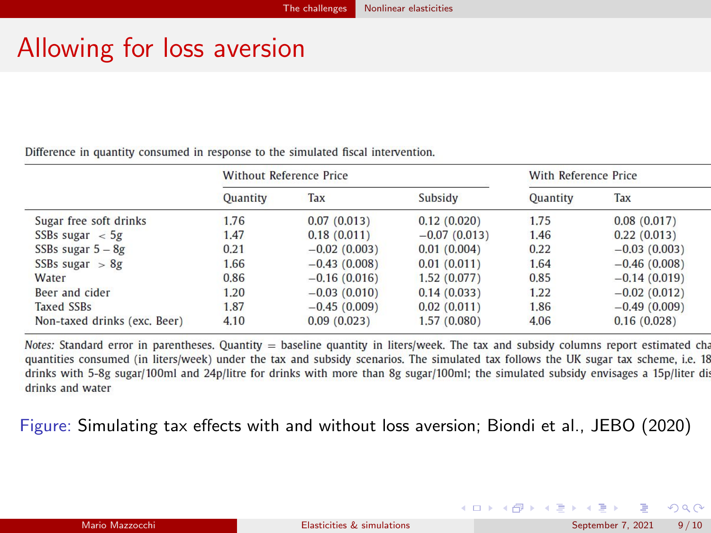### <span id="page-8-0"></span>Allowing for loss aversion

Difference in quantity consumed in response to the simulated fiscal intervention.

|                              | <b>Without Reference Price</b> |                |                | With Reference Price |                |  |
|------------------------------|--------------------------------|----------------|----------------|----------------------|----------------|--|
|                              | Quantity                       | Tax            | Subsidy        | Quantity             | Tax            |  |
| Sugar free soft drinks       | 1.76                           | 0.07(0.013)    | 0.12(0.020)    | 1.75                 | 0.08(0.017)    |  |
| SSBs sugar $\langle$ 5g      | 1.47                           | 0.18(0.011)    | $-0.07(0.013)$ | 1.46                 | 0.22(0.013)    |  |
| SSBs sugar $5 - 8g$          | 0.21                           | $-0.02(0.003)$ | 0.01(0.004)    | 0.22                 | $-0.03(0.003)$ |  |
| SSBs sugar $> 8g$            | 1.66                           | $-0.43(0.008)$ | 0.01(0.011)    | 1.64                 | $-0.46(0.008)$ |  |
| Water                        | 0.86                           | $-0.16(0.016)$ | 1.52(0.077)    | 0.85                 | $-0.14(0.019)$ |  |
| Beer and cider               | 1.20                           | $-0.03(0.010)$ | 0.14(0.033)    | 1.22                 | $-0.02(0.012)$ |  |
| <b>Taxed SSBs</b>            | 1.87                           | $-0.45(0.009)$ | 0.02(0.011)    | 1.86                 | $-0.49(0.009)$ |  |
| Non-taxed drinks (exc. Beer) | 4.10                           | 0.09(0.023)    | 1.57(0.080)    | 4.06                 | 0.16(0.028)    |  |

Notes: Standard error in parentheses, Quantity = baseline quantity in liters/week. The tax and subsidy columns report estimated cha quantities consumed (in liters/week) under the tax and subsidy scenarios. The simulated tax follows the UK sugar tax scheme, i.e. 18 drinks with 5-8g sugar/100ml and 24p/litre for drinks with more than 8g sugar/100ml; the simulated subsidy envisages a 15p/liter di drinks and water

Figure: Simulating tax effects with and without loss aversion; Biondi et al., JEBO (2020)

 $\Omega$ 

メロトメ 倒 トメ ヨ トメ ヨト